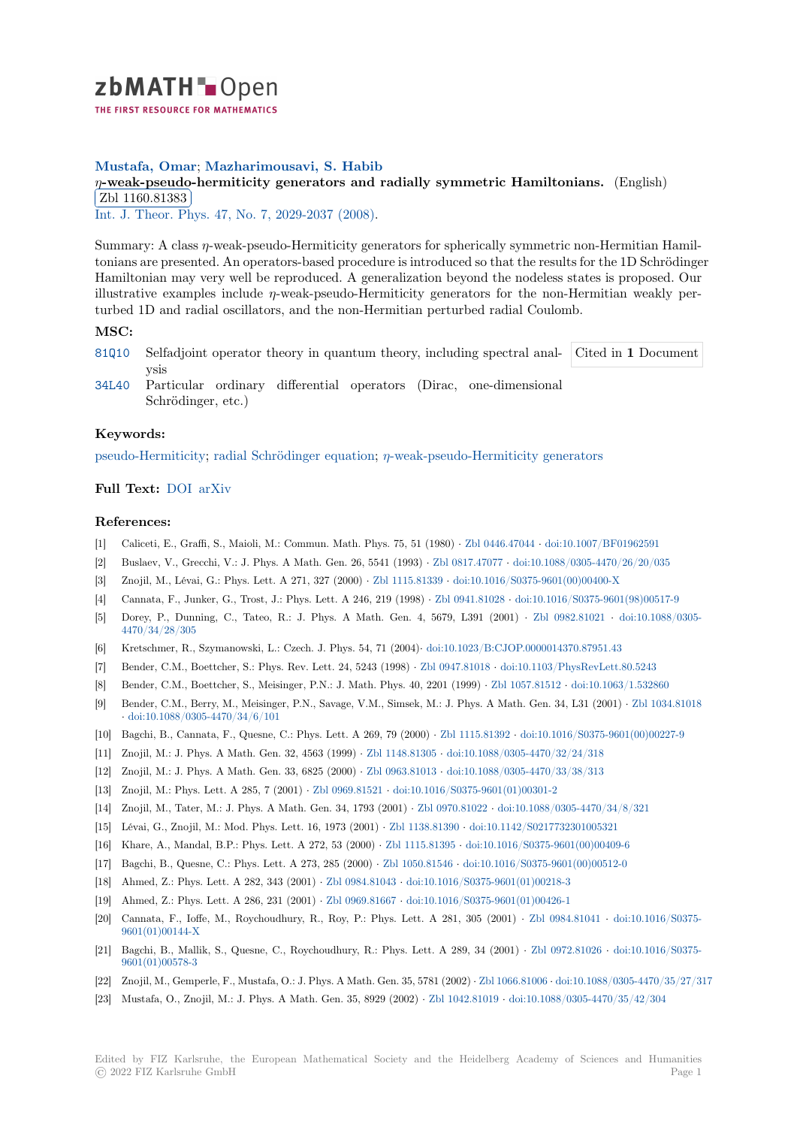

## **Mustafa, Omar**; **Mazharimousavi, S. Habib**

# *[η](https://zbmath.org/)***-weak-pseudo-hermiticity generators and radially symmetric Hamiltonians.** (English) **was** Zbl 1160.81383

Int. J. Theor. Phys. 47, No. 7, 2029-2037 (2008).

[Summary: A class](https://zbmath.org/authors/?q=ai:mustafa.omar) *η*[-weak-pseudo-Hermiticity generators for spherically symmetric non-H](https://zbmath.org/1160.81383)ermitian Hamil[tonians are presen](https://zbmath.org/1160.81383)ted. An operators-based procedure is introduced so that the results for the 1D Schrödinger [Hamiltonian may ve](https://zbmath.org/journals/?q=se:111)[ry well be reproduced. A gen](https://zbmath.org/?q=in:222674)eralization beyond the nodeless states is proposed. Our illustrative examples include *η*-weak-pseudo-Hermiticity generators for the non-Hermitian weakly perturbed 1D and radial oscillators, and the non-Hermitian perturbed radial Coulomb.

### **MSC:**

- 81Q10 Selfadjoint operator theory in quantum theory, including spectral analysis Cited in **1** Document
- 34L40 Particular ordinary differential operators (Dirac, one-dimensional Schrödinger, etc.)

#### **[Keyw](https://zbmath.org/classification/?q=cc:81Q10)ords:**

[pseudo](https://zbmath.org/classification/?q=cc:34L40)-Hermiticity; radial Schrödinger equation; *η*-weak-pseudo-Hermiticity generators

### **Full Text:** DOI arXiv

#### **[References:](https://zbmath.org/?q=ut:pseudo-Hermiticity)**

- [1] Caliceti, E., Graffi, S., Maioli, M.: Commun. Math. Phys. 75, 51 (1980) *·* Zbl 0446.47044 *·* doi:10.1007/BF01962591
- [2] Buslaev, [V., Gr](https://dx.doi.org/10.1007/s10773-007-9647-0)[ecchi, V](https://arxiv.org/abs/hep-th/0601017).: J. Phys. A Math. Gen. 26, 5541 (1993) *·* Zbl 0817.47077 *·* doi:10.1088/0305-4470/26/20/035
- [3] Znojil, M., Lévai, G.: Phys. Lett. A 271, 327 (2000) *·* Zbl 1115.81339 *·* doi:10.1016/S0375-9601(00)00400-X
- [4] Cannata, F., Junker, G., Trost, J.: Phys. Lett. A 246, 219 (1998) *·* Zbl 0941.81028 *·* doi:10.1016/S0375-9601(98)00517-9
- [5] Dorey, P., Dunning, C., Tateo, R.: J. Phys. A Math. Gen. 4, [5679,](https://zbmath.org/0817.47077) [L391 \(2001\)](https://zbmath.org/0446.47044) *·* [Zb](https://dx.doi.org/10.1088/0305-4470/26/20/035)[l 0982.81021](https://dx.doi.org/10.1007/BF01962591) *·* doi:10.1088/0305- 4470/34/28/305
- [6] Kretschmer, R., Szymanowski, L.: Czech. J. Phys. 54, [71 \(2004\)](https://zbmath.org/1115.81339)*·* doi:1[0.1023/B:CJOP.0000014370.87951.43](https://dx.doi.org/10.1016/S0375-9601(00)00400-X)
- [7] Bender, C.M., Boettcher, S.: Phys. Rev. Lett. 24, 5243 (1998) *·* Zb[l 0947.81018](https://zbmath.org/0941.81028) *·* doi[:10.1103/PhysRevLett.80.5243](https://dx.doi.org/10.1016/S0375-9601(98)00517-9)
- [8] Bender, C.M., Boettcher, S., Meisinger, P.N.: J. Math. Phys. 40, 2201 (1999) *·* Zbl 1057.81512 *·* [doi:10.1](https://zbmath.org/0982.81021)06[3/1.532860](https://dx.doi.org/10.1088/0305-4470/34/28/305)
- [9] [Bender, C.M., B](https://dx.doi.org/10.1088/0305-4470/34/28/305)erry, M., Meisinger, P.N., Savage, V.M., Simsek, [M.: J. Phys. A Math. Gen. 34, L31 \(2001\)](https://dx.doi.org/10.1023/B:CJOP.0000014370.87951.43) *·* Zbl 1034.81018 *·* doi:10.1088/0305-4470/34/6/101
- [10] Bagchi, B., Cannata, F., Quesne, C.: Phys. Lett. A 269, 79 (2000) *·* [Zbl 1115.81](https://zbmath.org/0947.81018)392 *·* [doi:10.1016/S0375-9601\(00\)00](https://dx.doi.org/10.1103/PhysRevLett.80.5243)227-9
- [11] Znojil, M.: J. Phys. A Math. Gen. 32, 4563 (1999) *·* Zbl 1148.81305 *·* doi:10.10[88/0305-4470/3](https://zbmath.org/1057.81512)2[/24/318](https://dx.doi.org/10.1063/1.532860)
- [12] Znojil, M.: J. Phys. A Math. Gen. 33, 6825 (2000) *·* Zbl 0963.81013 *·* doi:10.1088/0305-4470/33/38/313
- [13] Z[nojil, M.: Phys. Lett. A 285, 7 \(2](https://dx.doi.org/10.1088/0305-4470/34/6/101)001) *·* Zbl 0969.81521 *·* doi:10.1016/S0375-9601(01)00301-2
- [14] Znojil, M., Tater, M.: J. Phys. A Math. Gen. 34, 1793 (2001) *·* Zbl [0970.81022](https://zbmath.org/1115.81392) *·* doi:1[0.1088/0305-4470/34/8/321](https://dx.doi.org/10.1016/S0375-9601(00)00227-9)
- [15] Lévai, G., Znojil, M.: Mod. Phys. Lett. 16, 1973 (2001) *·* [Zbl 1138.8](https://zbmath.org/1148.81305)1390 *·* [doi:10.1142/S02177323010053](https://dx.doi.org/10.1088/0305-4470/32/24/318)21
- [16] Khare, A., Mandal, B.P.: Phys. Lett. A 272, 53 (2000) *·* [Zbl 1115.81](https://zbmath.org/0963.81013)395 *·* [doi:10.1016/S0375-9601\(00\)00](https://dx.doi.org/10.1088/0305-4470/33/38/313)409-6
- [17] Bagchi, B., Quesne, C.: Phys. Lett. A 27[3, 285 \(2000\)](https://zbmath.org/0969.81521) *·* Zbl 1050.81546 *·* [doi:10.1016/S0375-96](https://dx.doi.org/10.1016/S0375-9601(01)00301-2)01(00)00512-0
- [18] Ahmed, Z.: Phys. Lett. A 282, 343 (2001) *·* Zbl 0984.81043 *·* d[oi:10.1016/S0375](https://zbmath.org/0970.81022)-[9601\(01\)00218-3](https://dx.doi.org/10.1088/0305-4470/34/8/321)
- [19] Ahmed, Z.: Phys. Lett. A 286, 231 (2001) *·* Zbl 0969.81667 *·* [doi:10.1016/](https://zbmath.org/1138.81390)[S0375-9601\(01\)00426-1](https://dx.doi.org/10.1142/S0217732301005321)
- [20] Cannata, F., Ioffe, M., Roychoudhury, R., Roy, P.: Ph[ys. Lett. A 281](https://zbmath.org/1115.81395), 305 (2001) *[·](https://dx.doi.org/10.1016/S0375-9601(00)00512-0)* [Zbl 0984.81041](https://dx.doi.org/10.1016/S0375-9601(00)00409-6) *·* doi:10.1016/S0375- 9601(01)00144-X
- [21] Bagchi, B., Mallik, S., Quesne, C., Roycho[udhury, R.: Phy](https://zbmath.org/0984.81043)s[. Lett. A 289, 34 \(2001\)](https://dx.doi.org/10.1016/S0375-9601(01)00218-3) *·* Zbl 0972.81026 *·* doi:10.1016/S0375- 9601(01)00578-3
- [22] Znojil, M., Gemperle, F., Mustafa, O.: J. Phys. A Math. Gen. 35, 5781 (2002) *·* Zbl 1066.81006 *·* [doi:10.108](https://zbmath.org/0984.81041)8[/0305-4470/35/27/3](https://dx.doi.org/10.1016/S0375-9601(01)00144-X)17
- [23] [Mustafa, O., Zno](https://dx.doi.org/10.1016/S0375-9601(01)00144-X)jil, M.: J. Phys. A Math. Gen. 35, 8929 (2002) *·* Zbl 1042.81019 *·* doi:10.1088/0305-4470/35/42/304